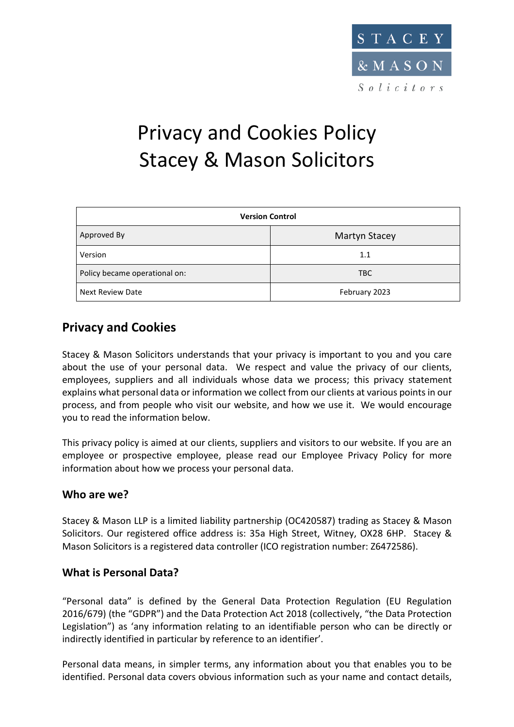

# Privacy and Cookies Policy Stacey & Mason Solicitors

| <b>Version Control</b>        |               |  |
|-------------------------------|---------------|--|
| Approved By                   | Martyn Stacey |  |
| Version                       | 1.1           |  |
| Policy became operational on: | <b>TBC</b>    |  |
| <b>Next Review Date</b>       | February 2023 |  |

## **Privacy and Cookies**

Stacey & Mason Solicitors understands that your privacy is important to you and you care about the use of your personal data. We respect and value the privacy of our clients, employees, suppliers and all individuals whose data we process; this privacy statement explains what personal data or information we collect from our clients at various points in our process, and from people who visit our website, and how we use it. We would encourage you to read the information below.

This privacy policy is aimed at our clients, suppliers and visitors to our website. If you are an employee or prospective employee, please read our Employee Privacy Policy for more information about how we process your personal data.

## **Who are we?**

Stacey & Mason LLP is a limited liability partnership (OC420587) trading as Stacey & Mason Solicitors. Our registered office address is: 35a High Street, Witney, OX28 6HP. Stacey & Mason Solicitors is a registered data controller (ICO registration number: Z6472586).

## **What is Personal Data?**

"Personal data" is defined by the General Data Protection Regulation (EU Regulation 2016/679) (the "GDPR") and the Data Protection Act 2018 (collectively, "the Data Protection Legislation") as 'any information relating to an identifiable person who can be directly or indirectly identified in particular by reference to an identifier'.

Personal data means, in simpler terms, any information about you that enables you to be identified. Personal data covers obvious information such as your name and contact details,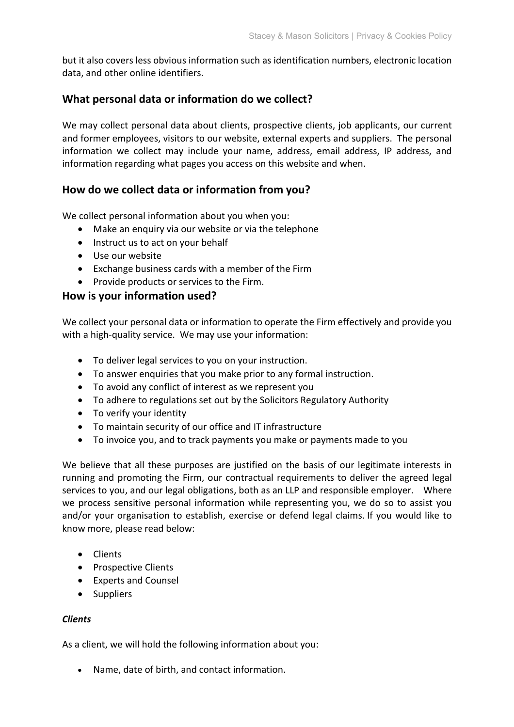but it also covers less obvious information such as identification numbers, electronic location data, and other online identifiers.

## **What personal data or information do we collect?**

We may collect personal data about clients, prospective clients, job applicants, our current and former employees, visitors to our website, external experts and suppliers. The personal information we collect may include your name, address, email address, IP address, and information regarding what pages you access on this website and when.

## **How do we collect data or information from you?**

We collect personal information about you when you:

- Make an enquiry via our website or via the telephone
- Instruct us to act on your behalf
- Use our website
- Exchange business cards with a member of the Firm
- Provide products or services to the Firm.

## **How is your information used?**

We collect your personal data or information to operate the Firm effectively and provide you with a high-quality service. We may use your information:

- To deliver legal services to you on your instruction.
- To answer enquiries that you make prior to any formal instruction.
- To avoid any conflict of interest as we represent you
- To adhere to regulations set out by the Solicitors Regulatory Authority
- To verify your identity
- To maintain security of our office and IT infrastructure
- To invoice you, and to track payments you make or payments made to you

We believe that all these purposes are justified on the basis of our legitimate interests in running and promoting the Firm, our contractual requirements to deliver the agreed legal services to you, and our legal obligations, both as an LLP and responsible employer. Where we process sensitive personal information while representing you, we do so to assist you and/or your organisation to establish, exercise or defend legal claims. If you would like to know more, please read below:

- Clients
- Prospective Clients
- Experts and Counsel
- Suppliers

#### *Clients*

As a client, we will hold the following information about you:

• Name, date of birth, and contact information.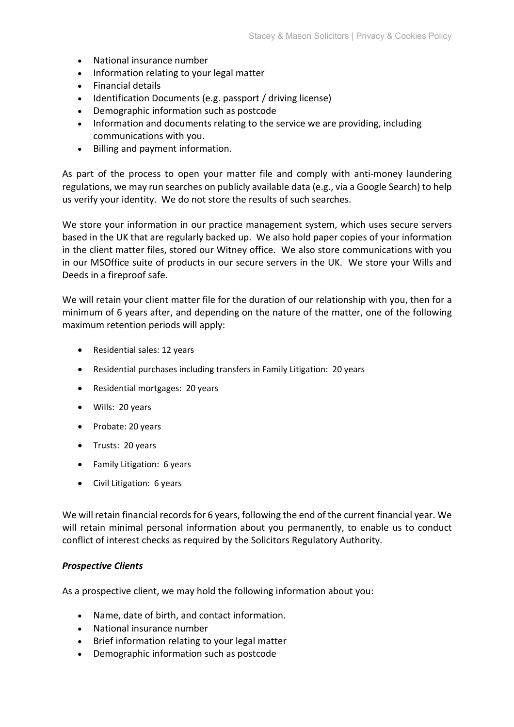- National insurance number
- Information relating to your legal matter
- Financial details
- Identification Documents (e.g. passport / driving license)
- Demographic information such as postcode
- Information and documents relating to the service we are providing, including communications with you.
- Billing and payment information.

As part of the process to open your matter file and comply with anti-money laundering regulations, we may run searches on publicly available data (e.g., via a Google Search) to help us verify your identity. We do not store the results of such searches.

We store your information in our practice management system, which uses secure servers based in the UK that are regularly backed up. We also hold paper copies of your information in the client matter files, stored our Witney office. We also store communications with you in our MSOffice suite of products in our secure servers in the UK. We store your Wills and Deeds in a fireproof safe.

We will retain your client matter file for the duration of our relationship with you, then for a minimum of 6 years after, and depending on the nature of the matter, one of the following maximum retention periods will apply:

- Residential sales: 12 years
- Residential purchases including transfers in Family Litigation: 20 years
- Residential mortgages: 20 years
- Wills: 20 years
- Probate: 20 years
- Trusts: 20 years
- Family Litigation: 6 years
- Civil Litigation: 6 years

We will retain financial records for 6 years, following the end of the current financial year. We will retain minimal personal information about you permanently, to enable us to conduct conflict of interest checks as required by the Solicitors Regulatory Authority.

#### *Prospective Clients*

As a prospective client, we may hold the following information about you:

- Name, date of birth, and contact information.
- National insurance number
- Brief information relating to your legal matter
- Demographic information such as postcode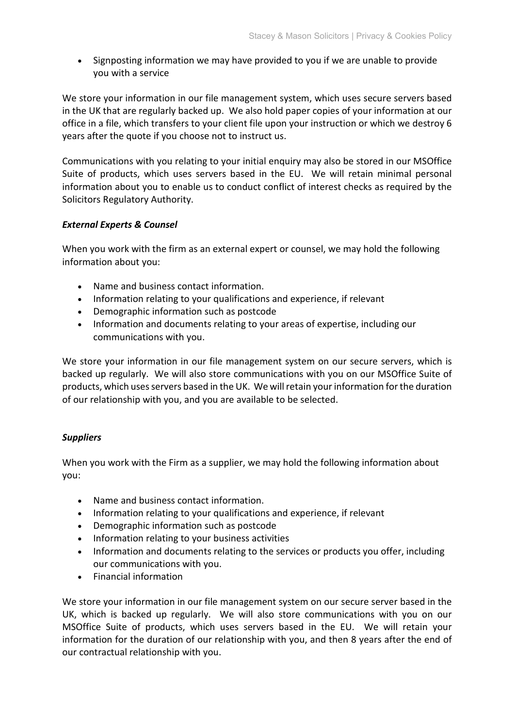• Signposting information we may have provided to you if we are unable to provide you with a service

We store your information in our file management system, which uses secure servers based in the UK that are regularly backed up. We also hold paper copies of your information at our office in a file, which transfers to your client file upon your instruction or which we destroy 6 years after the quote if you choose not to instruct us.

Communications with you relating to your initial enquiry may also be stored in our MSOffice Suite of products, which uses servers based in the EU. We will retain minimal personal information about you to enable us to conduct conflict of interest checks as required by the Solicitors Regulatory Authority.

#### *External Experts & Counsel*

When you work with the firm as an external expert or counsel, we may hold the following information about you:

- Name and business contact information.
- Information relating to your qualifications and experience, if relevant
- Demographic information such as postcode
- Information and documents relating to your areas of expertise, including our communications with you.

We store your information in our file management system on our secure servers, which is backed up regularly. We will also store communications with you on our MSOffice Suite of products, which uses servers based in the UK. We will retain your information for the duration of our relationship with you, and you are available to be selected.

#### *Suppliers*

When you work with the Firm as a supplier, we may hold the following information about you:

- Name and business contact information.
- Information relating to your qualifications and experience, if relevant
- Demographic information such as postcode
- Information relating to your business activities
- Information and documents relating to the services or products you offer, including our communications with you.
- Financial information

We store your information in our file management system on our secure server based in the UK, which is backed up regularly. We will also store communications with you on our MSOffice Suite of products, which uses servers based in the EU. We will retain your information for the duration of our relationship with you, and then 8 years after the end of our contractual relationship with you.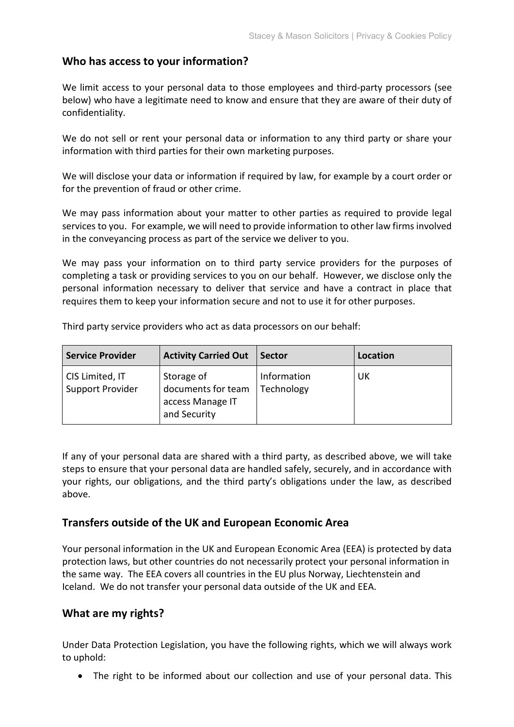#### **Who has access to your information?**

We limit access to your personal data to those employees and third-party processors (see below) who have a legitimate need to know and ensure that they are aware of their duty of confidentiality.

We do not sell or rent your personal data or information to any third party or share your information with third parties for their own marketing purposes.

We will disclose your data or information if required by law, for example by a court order or for the prevention of fraud or other crime.

We may pass information about your matter to other parties as required to provide legal services to you. For example, we will need to provide information to other law firms involved in the conveyancing process as part of the service we deliver to you.

We may pass your information on to third party service providers for the purposes of completing a task or providing services to you on our behalf. However, we disclose only the personal information necessary to deliver that service and have a contract in place that requires them to keep your information secure and not to use it for other purposes.

| <b>Service Provider</b>             | <b>Activity Carried Out</b>                                          | <b>Sector</b>             | Location |
|-------------------------------------|----------------------------------------------------------------------|---------------------------|----------|
| CIS Limited, IT<br>Support Provider | Storage of<br>documents for team<br>access Manage IT<br>and Security | Information<br>Technology | UK       |

Third party service providers who act as data processors on our behalf:

If any of your personal data are shared with a third party, as described above, we will take steps to ensure that your personal data are handled safely, securely, and in accordance with your rights, our obligations, and the third party's obligations under the law, as described above.

#### **Transfers outside of the UK and European Economic Area**

Your personal information in the UK and European Economic Area (EEA) is protected by data protection laws, but other countries do not necessarily protect your personal information in the same way. The EEA covers all countries in the EU plus Norway, Liechtenstein and Iceland. We do not transfer your personal data outside of the UK and EEA.

#### **What are my rights?**

Under Data Protection Legislation, you have the following rights, which we will always work to uphold:

• The right to be informed about our collection and use of your personal data. This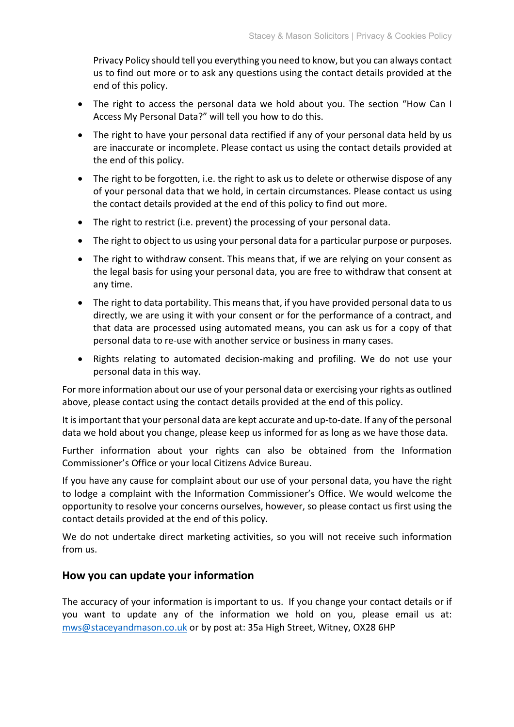Privacy Policy should tell you everything you need to know, but you can always contact us to find out more or to ask any questions using the contact details provided at the end of this policy.

- The right to access the personal data we hold about you. The section "How Can I Access My Personal Data?" will tell you how to do this.
- The right to have your personal data rectified if any of your personal data held by us are inaccurate or incomplete. Please contact us using the contact details provided at the end of this policy.
- The right to be forgotten, i.e. the right to ask us to delete or otherwise dispose of any of your personal data that we hold, in certain circumstances. Please contact us using the contact details provided at the end of this policy to find out more.
- The right to restrict (i.e. prevent) the processing of your personal data.
- The right to object to us using your personal data for a particular purpose or purposes.
- The right to withdraw consent. This means that, if we are relying on your consent as the legal basis for using your personal data, you are free to withdraw that consent at any time.
- The right to data portability. This means that, if you have provided personal data to us directly, we are using it with your consent or for the performance of a contract, and that data are processed using automated means, you can ask us for a copy of that personal data to re-use with another service or business in many cases.
- Rights relating to automated decision-making and profiling. We do not use your personal data in this way.

For more information about our use of your personal data or exercising your rights as outlined above, please contact using the contact details provided at the end of this policy.

It is important that your personal data are kept accurate and up-to-date. If any of the personal data we hold about you change, please keep us informed for as long as we have those data.

Further information about your rights can also be obtained from the Information Commissioner's Office or your local Citizens Advice Bureau.

If you have any cause for complaint about our use of your personal data, you have the right to lodge a complaint with the Information Commissioner's Office. We would welcome the opportunity to resolve your concerns ourselves, however, so please contact us first using the contact details provided at the end of this policy.

We do not undertake direct marketing activities, so you will not receive such information from us.

#### **How you can update your information**

The accuracy of your information is important to us. If you change your contact details or if you want to update any of the information we hold on you, please email us at: [mws@staceyandmason.co.uk](mailto:mws@staceyandmason.co.uk) or by post at: 35a High Street, Witney, OX28 6HP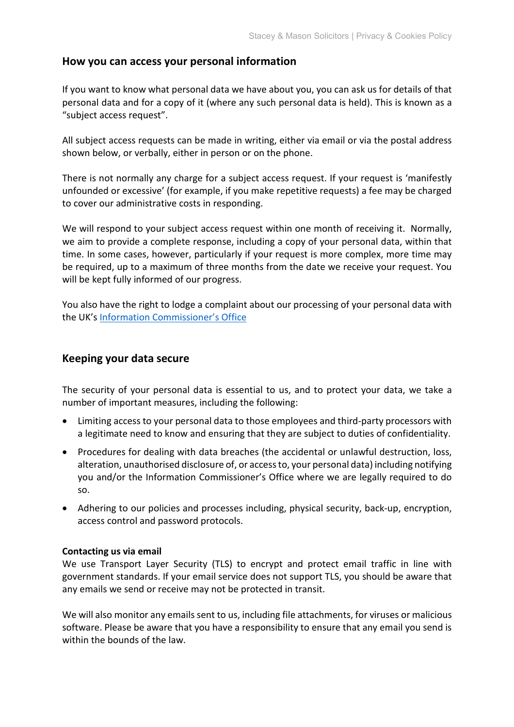#### **How you can access your personal information**

If you want to know what personal data we have about you, you can ask us for details of that personal data and for a copy of it (where any such personal data is held). This is known as a "subject access request".

All subject access requests can be made in writing, either via email or via the postal address shown below, or verbally, either in person or on the phone.

There is not normally any charge for a subject access request. If your request is 'manifestly unfounded or excessive' (for example, if you make repetitive requests) a fee may be charged to cover our administrative costs in responding.

We will respond to your subject access request within one month of receiving it. Normally, we aim to provide a complete response, including a copy of your personal data, within that time. In some cases, however, particularly if your request is more complex, more time may be required, up to a maximum of three months from the date we receive your request. You will be kept fully informed of our progress.

You also have the right to lodge a complaint about our processing of your personal data with the UK's [Information Commissioner's Office](https://ico.org.uk/concerns/)

#### **Keeping your data secure**

The security of your personal data is essential to us, and to protect your data, we take a number of important measures, including the following:

- Limiting access to your personal data to those employees and third-party processors with a legitimate need to know and ensuring that they are subject to duties of confidentiality.
- Procedures for dealing with data breaches (the accidental or unlawful destruction, loss, alteration, unauthorised disclosure of, or access to, your personal data) including notifying you and/or the Information Commissioner's Office where we are legally required to do so.
- Adhering to our policies and processes including, physical security, back-up, encryption, access control and password protocols.

#### **Contacting us via email**

We use Transport Layer Security (TLS) to encrypt and protect email traffic in line with government standards. If your email service does not support TLS, you should be aware that any emails we send or receive may not be protected in transit.

We will also monitor any emails sent to us, including file attachments, for viruses or malicious software. Please be aware that you have a responsibility to ensure that any email you send is within the bounds of the law.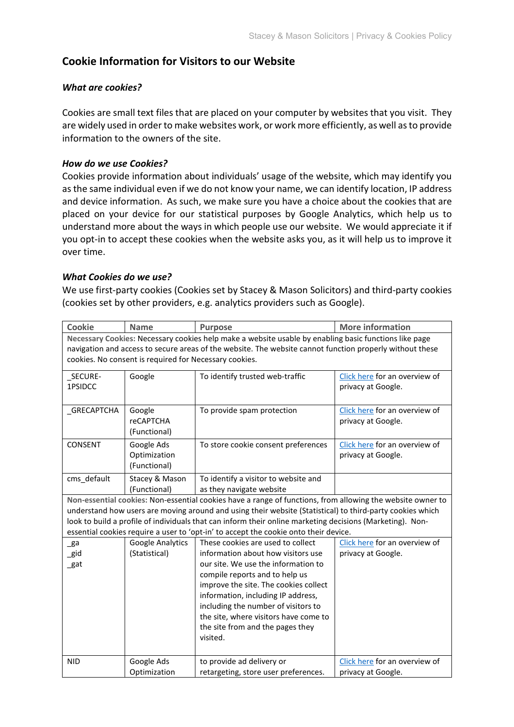## **Cookie Information for Visitors to our Website**

#### *What are cookies?*

Cookies are small text files that are placed on your computer by websites that you visit. They are widely used in order to make websites work, or work more efficiently, as well as to provide information to the owners of the site.

#### *How do we use Cookies?*

Cookies provide information about individuals' usage of the website, which may identify you as the same individual even if we do not know your name, we can identify location, IP address and device information. As such, we make sure you have a choice about the cookies that are placed on your device for our statistical purposes by Google Analytics, which help us to understand more about the ways in which people use our website. We would appreciate it if you opt-in to accept these cookies when the website asks you, as it will help us to improve it over time.

#### *What Cookies do we use?*

We use first-party cookies (Cookies set by Stacey & Mason Solicitors) and third-party cookies (cookies set by other providers, e.g. analytics providers such as Google).

| Cookie                                                                                                   | <b>Name</b>                                            | <b>Purpose</b>                                                                                             | <b>More information</b>       |  |  |
|----------------------------------------------------------------------------------------------------------|--------------------------------------------------------|------------------------------------------------------------------------------------------------------------|-------------------------------|--|--|
| Necessary Cookies: Necessary cookies help make a website usable by enabling basic functions like page    |                                                        |                                                                                                            |                               |  |  |
| navigation and access to secure areas of the website. The website cannot function properly without these |                                                        |                                                                                                            |                               |  |  |
|                                                                                                          | cookies. No consent is required for Necessary cookies. |                                                                                                            |                               |  |  |
| _SECURE-                                                                                                 | Google                                                 | To identify trusted web-traffic                                                                            | Click here for an overview of |  |  |
| 1PSIDCC                                                                                                  |                                                        |                                                                                                            | privacy at Google.            |  |  |
|                                                                                                          |                                                        |                                                                                                            |                               |  |  |
| _GRECAPTCHA                                                                                              | Google                                                 | To provide spam protection                                                                                 | Click here for an overview of |  |  |
|                                                                                                          | <b>reCAPTCHA</b>                                       |                                                                                                            | privacy at Google.            |  |  |
|                                                                                                          | (Functional)                                           |                                                                                                            |                               |  |  |
| CONSENT                                                                                                  | Google Ads                                             | To store cookie consent preferences                                                                        | Click here for an overview of |  |  |
|                                                                                                          | Optimization                                           |                                                                                                            | privacy at Google.            |  |  |
|                                                                                                          | (Functional)                                           |                                                                                                            |                               |  |  |
| cms_default                                                                                              | Stacey & Mason                                         | To identify a visitor to website and                                                                       |                               |  |  |
|                                                                                                          | (Functional)                                           | as they navigate website                                                                                   |                               |  |  |
|                                                                                                          |                                                        | Non-essential cookies: Non-essential cookies have a range of functions, from allowing the website owner to |                               |  |  |
|                                                                                                          |                                                        | understand how users are moving around and using their website (Statistical) to third-party cookies which  |                               |  |  |
|                                                                                                          |                                                        | look to build a profile of individuals that can inform their online marketing decisions (Marketing). Non-  |                               |  |  |
|                                                                                                          |                                                        | essential cookies require a user to 'opt-in' to accept the cookie onto their device.                       |                               |  |  |
| _ga                                                                                                      | Google Analytics                                       | These cookies are used to collect                                                                          | Click here for an overview of |  |  |
| _gid                                                                                                     | (Statistical)                                          | information about how visitors use                                                                         | privacy at Google.            |  |  |
| _gat                                                                                                     |                                                        | our site. We use the information to                                                                        |                               |  |  |
|                                                                                                          |                                                        | compile reports and to help us                                                                             |                               |  |  |
|                                                                                                          |                                                        | improve the site. The cookies collect<br>information, including IP address,                                |                               |  |  |
|                                                                                                          |                                                        | including the number of visitors to                                                                        |                               |  |  |
|                                                                                                          |                                                        | the site, where visitors have come to                                                                      |                               |  |  |
|                                                                                                          |                                                        | the site from and the pages they                                                                           |                               |  |  |
|                                                                                                          |                                                        | visited.                                                                                                   |                               |  |  |
|                                                                                                          |                                                        |                                                                                                            |                               |  |  |
| <b>NID</b>                                                                                               | Google Ads                                             | to provide ad delivery or                                                                                  | Click here for an overview of |  |  |
|                                                                                                          | Optimization                                           | retargeting, store user preferences.                                                                       | privacy at Google.            |  |  |